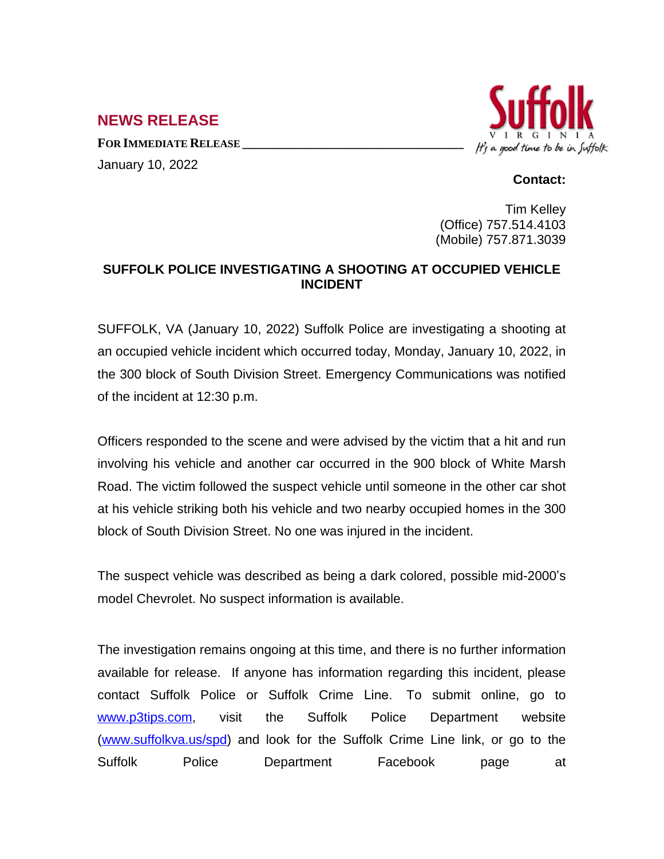## **NEWS RELEASE**

**FOR IMMEDIATE RELEASE \_\_\_\_\_\_\_\_\_\_\_\_\_\_\_\_\_\_\_\_\_\_\_\_\_\_\_\_\_\_\_\_\_\_** January 10, 2022



## **Contact:**

Tim Kelley (Office) 757.514.4103 (Mobile) 757.871.3039

## **SUFFOLK POLICE INVESTIGATING A SHOOTING AT OCCUPIED VEHICLE INCIDENT**

SUFFOLK, VA (January 10, 2022) Suffolk Police are investigating a shooting at an occupied vehicle incident which occurred today, Monday, January 10, 2022, in the 300 block of South Division Street. Emergency Communications was notified of the incident at 12:30 p.m.

Officers responded to the scene and were advised by the victim that a hit and run involving his vehicle and another car occurred in the 900 block of White Marsh Road. The victim followed the suspect vehicle until someone in the other car shot at his vehicle striking both his vehicle and two nearby occupied homes in the 300 block of South Division Street. No one was injured in the incident.

The suspect vehicle was described as being a dark colored, possible mid-2000's model Chevrolet. No suspect information is available.

The investigation remains ongoing at this time, and there is no further information available for release. If anyone has information regarding this incident, please contact Suffolk Police or Suffolk Crime Line. To submit online, go to [www.p3tips.com](http://www.p3tips.com), visit the Suffolk Police Department website ([www.suffolkva.us/spd](http://www.suffolkva.us/spd)) and look for the Suffolk Crime Line link, or go to the Suffolk Police Department Facebook page at